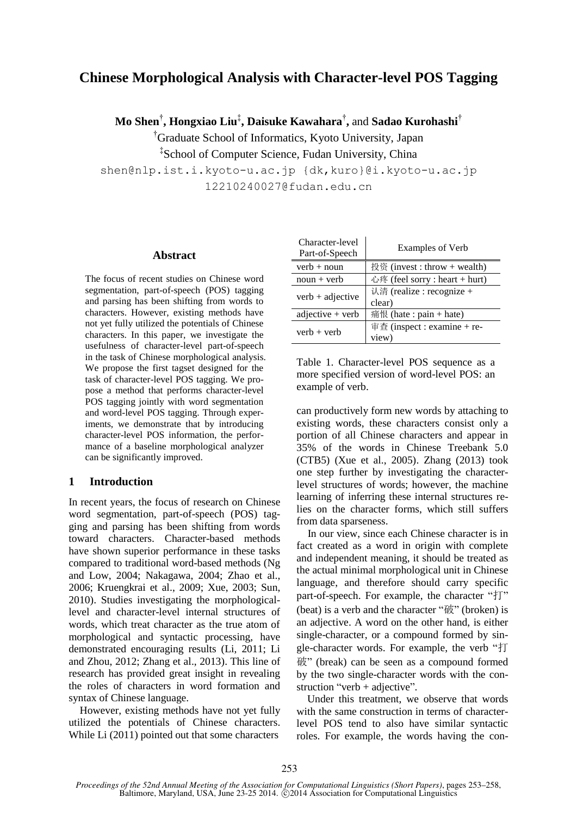# **Chinese Morphological Analysis with Character-level POS Tagging**

**Mo Shen**† **, Hongxiao Liu**‡ **, Daisuke Kawahara**† **,** and **Sadao Kurohashi**†

†Graduate School of Informatics, Kyoto University, Japan

‡ School of Computer Science, Fudan University, China

shen@nlp.ist.i.kyoto-u.ac.jp {dk,kuro}@i.kyoto-u.ac.jp 12210240027@fudan.edu.cn

### **Abstract**

The focus of recent studies on Chinese word segmentation, part-of-speech (POS) tagging and parsing has been shifting from words to characters. However, existing methods have not yet fully utilized the potentials of Chinese characters. In this paper, we investigate the usefulness of character-level part-of-speech in the task of Chinese morphological analysis. We propose the first tagset designed for the task of character-level POS tagging. We propose a method that performs character-level POS tagging jointly with word segmentation and word-level POS tagging. Through experiments, we demonstrate that by introducing character-level POS information, the performance of a baseline morphological analyzer can be significantly improved.

## **1 Introduction**

In recent years, the focus of research on Chinese word segmentation, part-of-speech (POS) tagging and parsing has been shifting from words toward characters. Character-based methods have shown superior performance in these tasks compared to traditional word-based methods (Ng and Low, 2004; Nakagawa, 2004; Zhao et al., 2006; Kruengkrai et al., 2009; Xue, 2003; Sun, 2010). Studies investigating the morphologicallevel and character-level internal structures of words, which treat character as the true atom of morphological and syntactic processing, have demonstrated encouraging results (Li, 2011; Li and Zhou, 2012; Zhang et al., 2013). This line of research has provided great insight in revealing the roles of characters in word formation and syntax of Chinese language.

However, existing methods have not yet fully utilized the potentials of Chinese characters. While Li (2011) pointed out that some characters

| Character-level<br>Part-of-Speech | <b>Examples of Verb</b>        |  |
|-----------------------------------|--------------------------------|--|
| $verb + noun$                     | 投资 (invest : throw + wealth)   |  |
| $noun + verb$                     | 心疼 (feel sorry : heart + hurt) |  |
| $verb + adjective$                | 认清 (realize : recognize +      |  |
|                                   | clear)                         |  |
| $adjective + verb$                | 痛恨 (hate : pain + hate)        |  |
| $verb + verb$                     | 审查 (inspect : examine + re-    |  |
|                                   | view)                          |  |
|                                   |                                |  |

| Table 1. Character-level POS sequence as a   |  |
|----------------------------------------------|--|
| more specified version of word-level POS: an |  |
| example of verb.                             |  |

can productively form new words by attaching to existing words, these characters consist only a portion of all Chinese characters and appear in 35% of the words in Chinese Treebank 5.0 (CTB5) (Xue et al., 2005). Zhang (2013) took one step further by investigating the characterlevel structures of words; however, the machine learning of inferring these internal structures relies on the character forms, which still suffers from data sparseness.

In our view, since each Chinese character is in fact created as a word in origin with complete and independent meaning, it should be treated as the actual minimal morphological unit in Chinese language, and therefore should carry specific part-of-speech. For example, the character "打" (beat) is a verb and the character "破" (broken) is an adjective. A word on the other hand, is either single-character, or a compound formed by single-character words. For example, the verb "打 破" (break) can be seen as a compound formed by the two single-character words with the construction "verb + adjective".

Under this treatment, we observe that words with the same construction in terms of characterlevel POS tend to also have similar syntactic roles. For example, the words having the con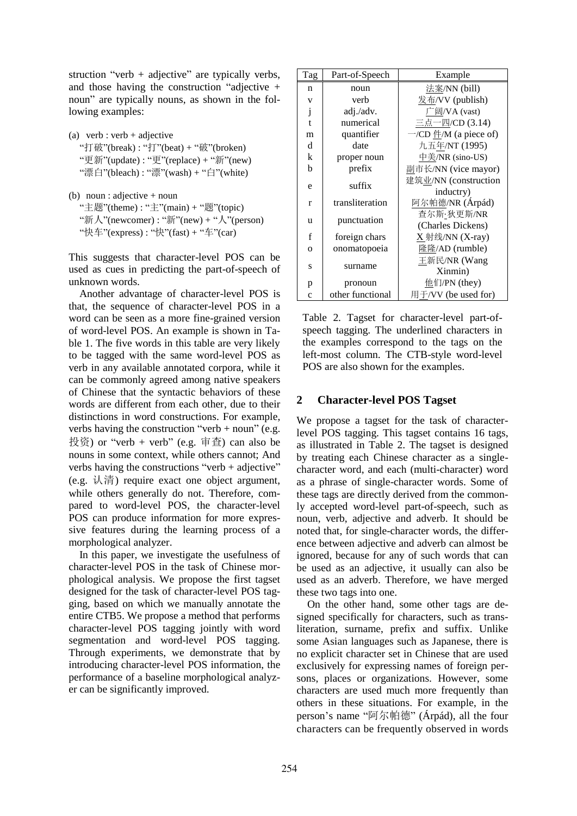struction "verb  $+$  adjective" are typically verbs, and those having the construction "adjective + noun" are typically nouns, as shown in the following examples:

- (a) verb : verb + adjective "打破"(break) : "打"(beat) + "破"(broken) "更新"(update) : "更"(replace) + "新"(new) "漂白"(bleach) : "漂"(wash) + "白"(white)
- (b) noun : adjective + noun "主题"(theme) : "主"(main) + "题"(topic) "新人"(newcomer) : "新"(new) + "人"(person) "快车"(express) : "快"(fast) + "车"(car)

This suggests that character-level POS can be used as cues in predicting the part-of-speech of unknown words.

Another advantage of character-level POS is that, the sequence of character-level POS in a word can be seen as a more fine-grained version of word-level POS. An example is shown in Table 1. The five words in this table are very likely to be tagged with the same word-level POS as verb in any available annotated corpora, while it can be commonly agreed among native speakers of Chinese that the syntactic behaviors of these words are different from each other, due to their distinctions in word constructions. For example, verbs having the construction "verb + noun" (e.g. 投资) or "verb + verb" (e.g. 审査) can also be nouns in some context, while others cannot; And verbs having the constructions "verb + adjective" (e.g. 认清) require exact one object argument, while others generally do not. Therefore, compared to word-level POS, the character-level POS can produce information for more expressive features during the learning process of a morphological analyzer.

In this paper, we investigate the usefulness of character-level POS in the task of Chinese morphological analysis. We propose the first tagset designed for the task of character-level POS tagging, based on which we manually annotate the entire CTB5. We propose a method that performs character-level POS tagging jointly with word segmentation and word-level POS tagging. Through experiments, we demonstrate that by introducing character-level POS information, the performance of a baseline morphological analyzer can be significantly improved.

| Tag          | Part-of-Speech   | Example                          |
|--------------|------------------|----------------------------------|
| n            | noun             | 法案/NN (bill)                     |
| V            | verb             | 发布/VV (publish)                  |
| j            | adj./adv.        | 广阔/VA (vast)                     |
| $\mathbf{t}$ | numerical        | 三点一四/CD (3.14)                   |
| m            | quantifier       | $-\prime$ CD $\#/M$ (a piece of) |
| d            | date             | 九五年/NT (1995)                    |
| k            | proper noun      | 中美/NR (sino-US)                  |
| b            | prefix           | 副市长/NN (vice mayor)              |
| e            | suffix           | 建筑业/NN (construction             |
|              |                  | inductry)                        |
| $\mathbf{r}$ | transliteration  | 阿尔帕德/NR (Árp ád)                 |
| u            | punctuation      | 查尔斯 狄更斯/NR                       |
|              |                  | (Charles Dickens)                |
| f            | foreign chars    | $X$ 射线/NN (X-ray)                |
| $\Omega$     | onomatopoeia     | 隆隆/AD (rumble)                   |
| S            | surname          | 王新民/NR (Wang                     |
|              |                  | Xinmin)                          |
| p            | pronoun          | 他们/PN (they)                     |
| $\mathbf c$  | other functional | 用于/VV (be used for)              |

Table 2. Tagset for character-level part-ofspeech tagging. The underlined characters in the examples correspond to the tags on the left-most column. The CTB-style word-level POS are also shown for the examples.

## **2 Character-level POS Tagset**

We propose a tagset for the task of characterlevel POS tagging. This tagset contains 16 tags, as illustrated in Table 2. The tagset is designed by treating each Chinese character as a singlecharacter word, and each (multi-character) word as a phrase of single-character words. Some of these tags are directly derived from the commonly accepted word-level part-of-speech, such as noun, verb, adjective and adverb. It should be noted that, for single-character words, the difference between adjective and adverb can almost be ignored, because for any of such words that can be used as an adjective, it usually can also be used as an adverb. Therefore, we have merged these two tags into one.

On the other hand, some other tags are designed specifically for characters, such as transliteration, surname, prefix and suffix. Unlike some Asian languages such as Japanese, there is no explicit character set in Chinese that are used exclusively for expressing names of foreign persons, places or organizations. However, some characters are used much more frequently than others in these situations. For example, in the person's name "阿尔帕德" (Árpád), all the four characters can be frequently observed in words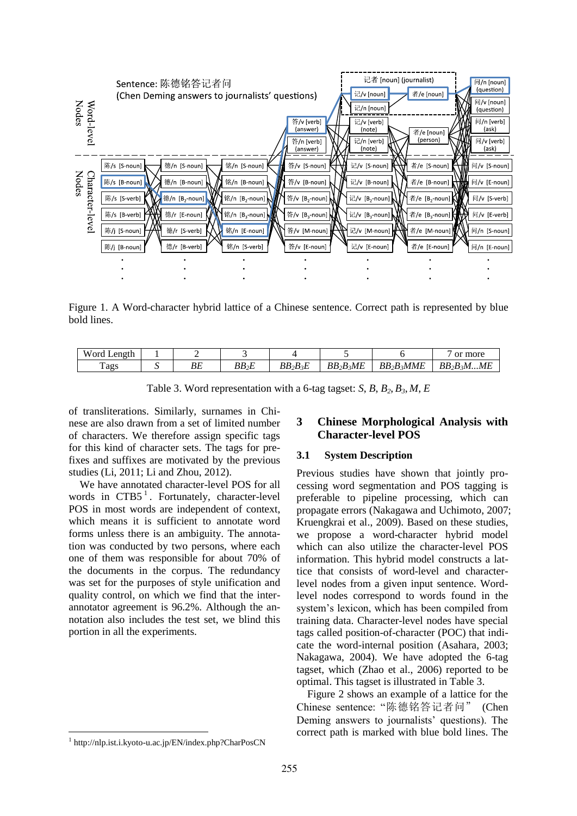

Figure 1. A Word-character hybrid lattice of a Chinese sentence. Correct path is represented by blue bold lines.

| Word<br>Length |          |             |                      |                         |                                       | more<br>or                             |
|----------------|----------|-------------|----------------------|-------------------------|---------------------------------------|----------------------------------------|
| Tags           | nг<br>νc | DD<br>DD 2E | $\sim$<br>$BB_2B_3E$ | $BB_2B_3ME$<br><u>.</u> | $3MME$<br>BB <sub>2</sub> B<br>$\sim$ | :MME<br>BB <sub>2</sub> B <sub>2</sub> |

Table 3. Word representation with a 6-tag tagset: *S*, *B*, *B2*, *B3*, *M*, *E*

of transliterations. Similarly, surnames in Chinese are also drawn from a set of limited number of characters. We therefore assign specific tags for this kind of character sets. The tags for prefixes and suffixes are motivated by the previous studies (Li, 2011; Li and Zhou, 2012).

We have annotated character-level POS for all words in CTB5<sup>1</sup>. Fortunately, character-level POS in most words are independent of context, which means it is sufficient to annotate word forms unless there is an ambiguity. The annotation was conducted by two persons, where each one of them was responsible for about 70% of the documents in the corpus. The redundancy was set for the purposes of style unification and quality control, on which we find that the interannotator agreement is 96.2%. Although the annotation also includes the test set, we blind this portion in all the experiments.

#### 1 http://nlp.ist.i.kyoto-u.ac.jp/EN/index.php?CharPosCN

## **3 Chinese Morphological Analysis with Character-level POS**

#### **3.1 System Description**

Previous studies have shown that jointly processing word segmentation and POS tagging is preferable to pipeline processing, which can propagate errors (Nakagawa and Uchimoto, 2007; Kruengkrai et al., 2009). Based on these studies, we propose a word-character hybrid model which can also utilize the character-level POS information. This hybrid model constructs a lattice that consists of word-level and characterlevel nodes from a given input sentence. Wordlevel nodes correspond to words found in the system's lexicon, which has been compiled from training data. Character-level nodes have special tags called position-of-character (POC) that indicate the word-internal position (Asahara, 2003; Nakagawa, 2004). We have adopted the 6-tag tagset, which (Zhao et al., 2006) reported to be optimal. This tagset is illustrated in Table 3.

Figure 2 shows an example of a lattice for the Chinese sentence: "陈德铭答记者问" (Chen Deming answers to journalists' questions). The correct path is marked with blue bold lines. The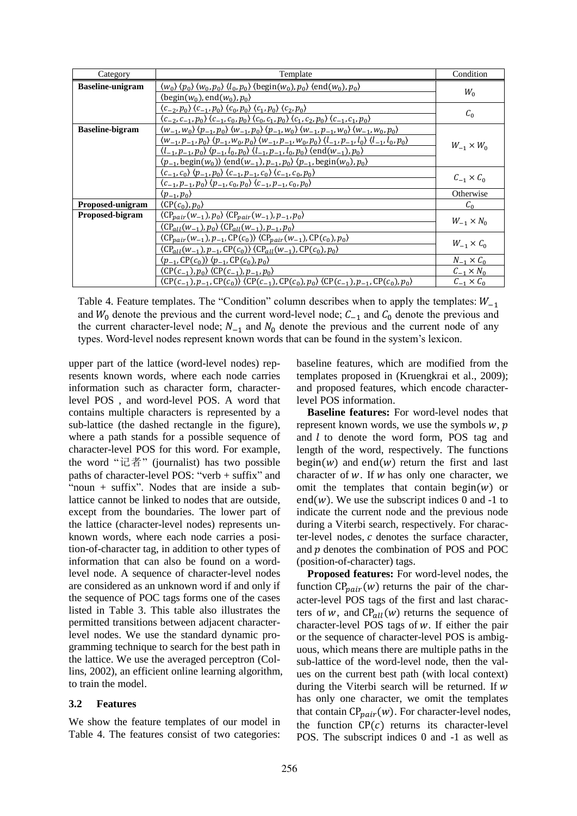| Category                | Template                                                                                                                                                                                         | Condition           |  |
|-------------------------|--------------------------------------------------------------------------------------------------------------------------------------------------------------------------------------------------|---------------------|--|
| <b>Baseline-unigram</b> | $\langle w_0 \rangle$ $\langle p_0 \rangle$ $\langle w_0, p_0 \rangle$ $\langle l_0, p_0 \rangle$ $\langle \text{begin}(w_0), p_0 \rangle$ $\langle \text{end}(w_0), p_0 \rangle$                | $W_0$               |  |
|                         | $\langle \text{begin}(w_0), \text{end}(w_0), p_0 \rangle$                                                                                                                                        |                     |  |
|                         | $(c_{-2}, p_0)$ $(c_{-1}, p_0)$ $(c_0, p_0)$ $(c_1, p_0)$ $(c_2, p_0)$                                                                                                                           | $C_0$               |  |
|                         | $(c_{-2}, c_{-1}, p_0)$ $(c_{-1}, c_0, p_0)$ $(c_0, c_1, p_0)$ $(c_1, c_2, p_0)$ $(c_{-1}, c_1, p_0)$                                                                                            |                     |  |
| <b>Baseline-bigram</b>  | $\langle w_{-1}, w_0 \rangle$ $\langle p_{-1}, p_0 \rangle$ $\langle w_{-1}, p_0 \rangle$ $\langle p_{-1}, w_0 \rangle$ $\langle w_{-1}, p_{-1}, w_0 \rangle$ $\langle w_{-1}, w_0, p_0 \rangle$ |                     |  |
|                         | $\langle w_{-1}, p_{-1}, p_0 \rangle$ $\langle p_{-1}, w_0, p_0 \rangle$ $\langle w_{-1}, p_{-1}, w_0, p_0 \rangle$ $\langle l_{-1}, p_{-1}, l_0 \rangle$ $\langle l_{-1}, l_0, p_0 \rangle$     |                     |  |
|                         | $\langle l_{-1}, p_{-1}, p_0 \rangle$ $\langle p_{-1}, l_0, p_0 \rangle$ $\langle l_{-1}, p_{-1}, l_0, p_0 \rangle$ $\langle \text{end}(w_{-1}), p_0 \rangle$                                    | $W_{-1} \times W_0$ |  |
|                         | $\langle p_{-1}, \text{begin}(w_0) \rangle \langle \text{end}(w_{-1}), p_{-1}, p_0 \rangle \langle p_{-1}, \text{begin}(w_0), p_0 \rangle$                                                       |                     |  |
|                         | $\langle c_{-1}, c_0 \rangle$ $\langle p_{-1}, p_0 \rangle$ $\langle c_{-1}, p_{-1}, c_0 \rangle$ $\langle c_{-1}, c_0, p_0 \rangle$                                                             | $C_{-1} \times C_0$ |  |
|                         | $(c_{-1}, p_{-1}, p_0)$ $(p_{-1}, c_0, p_0)$ $(c_{-1}, p_{-1}, c_0, p_0)$                                                                                                                        |                     |  |
|                         | $\langle p_{-1}, p_0 \rangle$                                                                                                                                                                    | Otherwise           |  |
| Proposed-unigram        | $\langle \text{CP}(c_0), p_0 \rangle$                                                                                                                                                            | $C_0$               |  |
| <b>Proposed-bigram</b>  | $\langle CP_{pair}(w_{-1}), p_0 \rangle \langle CP_{pair}(w_{-1}), p_{-1}, p_0 \rangle$                                                                                                          | $W_{-1} \times N_0$ |  |
|                         | $\langle CP_{all}(w_{-1}), p_0 \rangle \langle CP_{all}(w_{-1}), p_{-1}, p_0 \rangle$                                                                                                            |                     |  |
|                         | $\langle CP_{pair}(w_{-1}), p_{-1}, CP(c_0) \rangle \langle CP_{pair}(w_{-1}), CP(c_0), p_0 \rangle$                                                                                             |                     |  |
|                         | $\langle CP_{all}(w_{-1}), p_{-1}, CP(c_0) \rangle \langle CP_{all}(w_{-1}), CP(c_0), p_0 \rangle$                                                                                               | $W_{-1} \times C_0$ |  |
|                         | $\langle p_{-1}, \text{CP}(c_0) \rangle$ $\langle p_{-1}, \text{CP}(c_0), p_0 \rangle$                                                                                                           | $N_{-1} \times C_0$ |  |
|                         | $\langle CP(c_{-1}), p_0 \rangle$ $\langle CP(c_{-1}), p_{-1}, p_0 \rangle$                                                                                                                      | $C_{-1} \times N_0$ |  |
|                         | $\langle CP(c_{-1}), p_{-1}, CP(c_0) \rangle$ $\langle CP(c_{-1}), CP(c_0), p_0 \rangle$ $\langle CP(c_{-1}), p_{-1}, CP(c_0), p_0 \rangle$                                                      | $C_{-1} \times C_0$ |  |

Table 4. Feature templates. The "Condition" column describes when to apply the templates:  $W_{-1}$ and  $W_0$  denote the previous and the current word-level node;  $C_{-1}$  and  $C_0$  denote the previous and the current character-level node;  $N_{-1}$  and  $N_0$  denote the previous and the current node of any types. Word-level nodes represent known words that can be found in the system's lexicon.

upper part of the lattice (word-level nodes) represents known words, where each node carries information such as character form, characterlevel POS , and word-level POS. A word that contains multiple characters is represented by a sub-lattice (the dashed rectangle in the figure), where a path stands for a possible sequence of character-level POS for this word. For example, the word "记者" (journalist) has two possible paths of character-level POS: "verb + suffix" and "noun + suffix". Nodes that are inside a sublattice cannot be linked to nodes that are outside, except from the boundaries. The lower part of the lattice (character-level nodes) represents unknown words, where each node carries a position-of-character tag, in addition to other types of information that can also be found on a wordlevel node. A sequence of character-level nodes are considered as an unknown word if and only if the sequence of POC tags forms one of the cases listed in Table 3. This table also illustrates the permitted transitions between adjacent characterlevel nodes. We use the standard dynamic programming technique to search for the best path in the lattice. We use the averaged perceptron (Collins, 2002), an efficient online learning algorithm, to train the model.

### **3.2 Features**

We show the feature templates of our model in Table 4. The features consist of two categories:

baseline features, which are modified from the templates proposed in (Kruengkrai et al., 2009); and proposed features, which encode characterlevel POS information.

**Baseline features:** For word-level nodes that represent known words, we use the symbols  $w, p$ and  $l$  to denote the word form, POS tag and length of the word, respectively. The functions begin(w) and end(w) return the first and last character of  $w$ . If  $w$  has only one character, we omit the templates that contain begin( $w$ ) or  $end(w)$ . We use the subscript indices 0 and -1 to indicate the current node and the previous node during a Viterbi search, respectively. For character-level nodes,  $c$  denotes the surface character, and  $p$  denotes the combination of POS and POC (position-of-character) tags.

**Proposed features:** For word-level nodes, the function  $CP_{pair}(w)$  returns the pair of the character-level POS tags of the first and last characters of w, and  $CP_{all}(w)$  returns the sequence of character-level POS tags of  $w$ . If either the pair or the sequence of character-level POS is ambiguous, which means there are multiple paths in the sub-lattice of the word-level node, then the values on the current best path (with local context) during the Viterbi search will be returned. If  $w$ has only one character, we omit the templates that contain  $CP_{pair}(w)$ . For character-level nodes, the function  $CP(c)$  returns its character-level POS. The subscript indices 0 and -1 as well as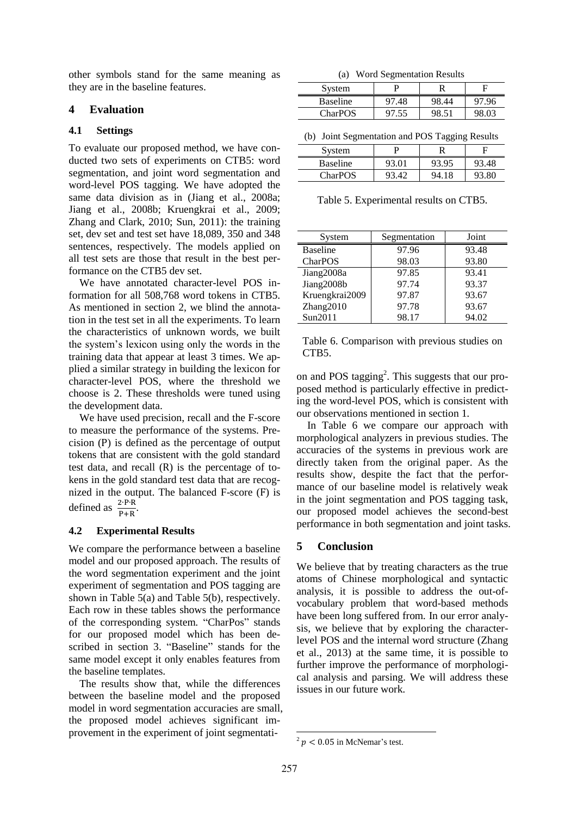other symbols stand for the same meaning as they are in the baseline features.

## **4 Evaluation**

## **4.1 Settings**

To evaluate our proposed method, we have conducted two sets of experiments on CTB5: word segmentation, and joint word segmentation and word-level POS tagging. We have adopted the same data division as in (Jiang et al., 2008a; Jiang et al., 2008b; Kruengkrai et al., 2009; Zhang and Clark, 2010; Sun, 2011): the training set, dev set and test set have 18,089, 350 and 348 sentences, respectively. The models applied on all test sets are those that result in the best performance on the CTB5 dev set.

We have annotated character-level POS information for all 508,768 word tokens in CTB5. As mentioned in section 2, we blind the annotation in the test set in all the experiments. To learn the characteristics of unknown words, we built the system's lexicon using only the words in the training data that appear at least 3 times. We applied a similar strategy in building the lexicon for character-level POS, where the threshold we choose is 2. These thresholds were tuned using the development data.

We have used precision, recall and the F-score to measure the performance of the systems. Precision  $(P)$  is defined as the percentage of output tokens that are consistent with the gold standard test data, and recall  $(R)$  is the percentage of tokens in the gold standard test data that are recognized in the output. The balanced  $F-score$  ( $F$ ) is defined as  $\frac{2 \cdot P \cdot R}{P + R}$ .

## **4.2 Experimental Results**

We compare the performance between a baseline model and our proposed approach. The results of the word segmentation experiment and the joint experiment of segmentation and POS tagging are shown in Table 5(a) and Table 5(b), respectively. Each row in these tables shows the performance of the corresponding system. "CharPos" stands for our proposed model which has been described in section 3. "Baseline" stands for the same model except it only enables features from the baseline templates.

The results show that, while the differences between the baseline model and the proposed model in word segmentation accuracies are small, the proposed model achieves significant improvement in the experiment of joint segmentati-

(a) Word Segmentation Results

| System          |           |    |          |
|-----------------|-----------|----|----------|
| <b>Baseline</b> | 48<br>97. | 44 | 96<br>97 |
| <b>CharPOS</b>  | 97        |    | .03      |

(b) Joint Segmentation and POS Tagging Results

| System          |       |       |       |
|-----------------|-------|-------|-------|
| <b>Baseline</b> | 93.01 | 93.95 | 93.48 |
| <b>CharPOS</b>  | 93.42 | 94.18 | 93.80 |
|                 |       |       |       |

Table 5. Experimental results on CTB5.

| System          | Segmentation | Joint |
|-----------------|--------------|-------|
| <b>Baseline</b> | 97.96        | 93.48 |
| CharPOS         | 98.03        | 93.80 |
| Jiang2008a      | 97.85        | 93.41 |
| Jiang2008b      | 97.74        | 93.37 |
| Kruengkrai2009  | 97.87        | 93.67 |
| Zhang2010       | 97.78        | 93.67 |
| Sun2011         | 98.17        | 94.02 |

Table 6. Comparison with previous studies on CTB5.

on and POS tagging<sup>2</sup>. This suggests that our proposed method is particularly effective in predicting the word-level POS, which is consistent with our observations mentioned in section 1.

In Table 6 we compare our approach with morphological analyzers in previous studies. The accuracies of the systems in previous work are directly taken from the original paper. As the results show, despite the fact that the performance of our baseline model is relatively weak in the joint segmentation and POS tagging task, our proposed model achieves the second-best performance in both segmentation and joint tasks.

## **5 Conclusion**

We believe that by treating characters as the true atoms of Chinese morphological and syntactic analysis, it is possible to address the out-ofvocabulary problem that word-based methods have been long suffered from. In our error analysis, we believe that by exploring the characterlevel POS and the internal word structure (Zhang et al., 2013) at the same time, it is possible to further improve the performance of morphological analysis and parsing. We will address these issues in our future work.

 $2 p < 0.05$  in McNemar's test.